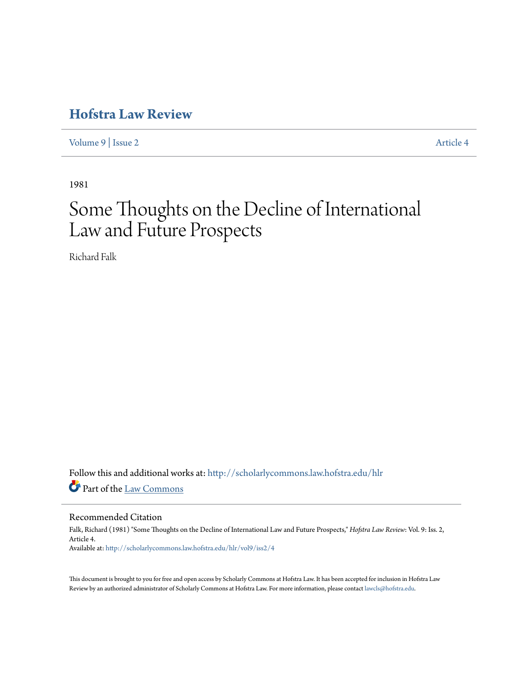# **[Hofstra Law Review](http://scholarlycommons.law.hofstra.edu/hlr?utm_source=scholarlycommons.law.hofstra.edu%2Fhlr%2Fvol9%2Fiss2%2F4&utm_medium=PDF&utm_campaign=PDFCoverPages)**

[Volume 9](http://scholarlycommons.law.hofstra.edu/hlr/vol9?utm_source=scholarlycommons.law.hofstra.edu%2Fhlr%2Fvol9%2Fiss2%2F4&utm_medium=PDF&utm_campaign=PDFCoverPages) | [Issue 2](http://scholarlycommons.law.hofstra.edu/hlr/vol9/iss2?utm_source=scholarlycommons.law.hofstra.edu%2Fhlr%2Fvol9%2Fiss2%2F4&utm_medium=PDF&utm_campaign=PDFCoverPages) [Article 4](http://scholarlycommons.law.hofstra.edu/hlr/vol9/iss2/4?utm_source=scholarlycommons.law.hofstra.edu%2Fhlr%2Fvol9%2Fiss2%2F4&utm_medium=PDF&utm_campaign=PDFCoverPages)

1981

# Some Thoughts on the Decline of International Law and Future Prospects

Richard Falk

Follow this and additional works at: [http://scholarlycommons.law.hofstra.edu/hlr](http://scholarlycommons.law.hofstra.edu/hlr?utm_source=scholarlycommons.law.hofstra.edu%2Fhlr%2Fvol9%2Fiss2%2F4&utm_medium=PDF&utm_campaign=PDFCoverPages) Part of the [Law Commons](http://network.bepress.com/hgg/discipline/578?utm_source=scholarlycommons.law.hofstra.edu%2Fhlr%2Fvol9%2Fiss2%2F4&utm_medium=PDF&utm_campaign=PDFCoverPages)

## Recommended Citation

Falk, Richard (1981) "Some Thoughts on the Decline of International Law and Future Prospects," *Hofstra Law Review*: Vol. 9: Iss. 2, Article 4. Available at: [http://scholarlycommons.law.hofstra.edu/hlr/vol9/iss2/4](http://scholarlycommons.law.hofstra.edu/hlr/vol9/iss2/4?utm_source=scholarlycommons.law.hofstra.edu%2Fhlr%2Fvol9%2Fiss2%2F4&utm_medium=PDF&utm_campaign=PDFCoverPages)

This document is brought to you for free and open access by Scholarly Commons at Hofstra Law. It has been accepted for inclusion in Hofstra Law Review by an authorized administrator of Scholarly Commons at Hofstra Law. For more information, please contact [lawcls@hofstra.edu](mailto:lawcls@hofstra.edu).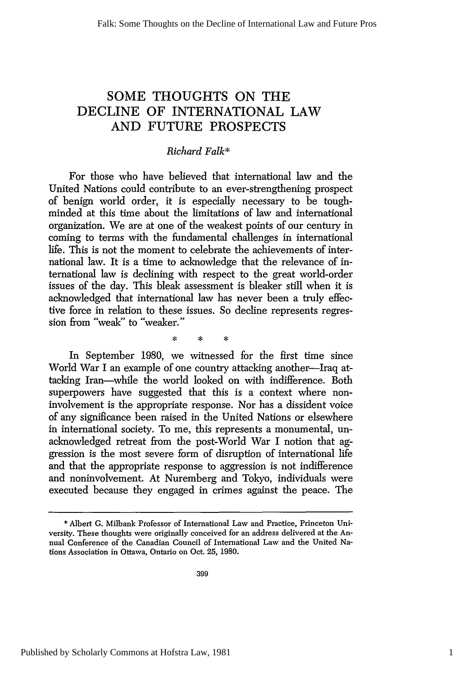## **SOME THOUGHTS ON** THE **DECLINE** OF INTERNATIONAL LAW **AND FUTURE** PROSPECTS

## *Richard Falk\**

For those who have believed that international law and the United Nations could contribute to an ever-strengthening prospect of benign world order, it is especially necessary to be toughminded at this time about the limitations of law and international organization. We are at one of the weakest points of our century in coming to terms with the fundamental challenges in international life. This is not the moment to celebrate the achievements of international law. It is a time to acknowledge that the relevance of international law is declining with respect to the great world-order issues of the day. This bleak assessment is bleaker still when it is acknowledged that international law has never been a truly effective force in relation to these issues. So decline represents regression from "weak" to "weaker."

In September 1980, we witnessed for the first time since World War I an example of one country attacking another-Iraq attacking Iran-while the world looked on with indifference. Both superpowers have suggested that this is a context where noninvolvement is the appropriate response. Nor has a dissident voice of any significance been raised in the United Nations or elsewhere in international society. To me, this represents a monumental, unacknowledged retreat from the post-World War I notion that aggression is the most severe form of disruption of international life and that the appropriate response to aggression is not indifference and noninvolvement. At Nuremberg and Tokyo, individuals were executed because they engaged in crimes against the peace. The

<sup>\*</sup> Albert G. Milbank Professor of International Law and Practice, Princeton University. These thoughts were originally conceived for an address delivered at the Annual Conference of the Canadian Council of International Law and the United Nations Association in Ottawa, Ontario on Oct. 25, 1980.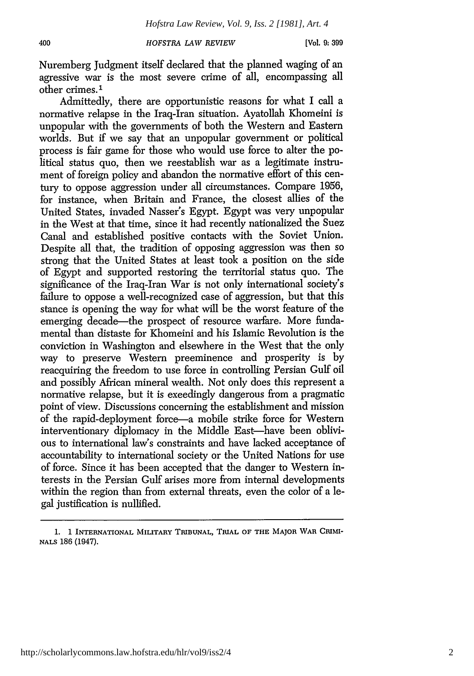400

Nuremberg Judgment itself declared that the planned waging of an agressive war is the most severe crime of all, encompassing all other crimes.<sup>1</sup>

Admittedly, there are opportunistic reasons for what I call a normative relapse in the Iraq-Iran situation. Ayatollah Khomeini is unpopular with the governments of both the Western and Eastern worlds. But if we say that an unpopular government or political process is fair game for those who would use force to alter the political status quo, then we reestablish war as a legitimate instrument of foreign policy and abandon the normative effort of this century to oppose aggression under all circumstances. Compare 1956, for instance, when Britain and France, the closest allies of the United States, invaded Nasser's Egypt. Egypt was very unpopular in the West at that time, since it had recently nationalized the Suez Canal and established positive contacts with the Soviet Union. Despite all that, the tradition of opposing aggression was then so strong that the United States at least took a position on the side of Egypt and supported restoring the territorial status quo. The significance of the Iraq-Iran War is not only international society's failure to oppose a well-recognized case of aggression, but that this stance is opening the way for what will be the worst feature of the emerging decade—the prospect of resource warfare. More fundamental than distaste for Khomeini and his Islamic Revolution is the conviction in Washington and elsewhere in the West that the only way to preserve Western preeminence and prosperity is by reacquiring the freedom to use force in controlling Persian Gulf oil and possibly African mineral wealth. Not only does this represent a normative relapse, but it is exeedingly dangerous from a pragmatic point of view. Discussions concerning the establishment and mission of the rapid-deployment force-a mobile strike force for Western interventionary diplomacy in the Middle East—have been oblivious to international law's constraints and have lacked acceptance of accountability to international society or the United Nations for use of force. Since it has been accepted that the danger to Western interests in the Persian Gulf arises more from internal developments within the region than from external threats, even the color of a legal justification is nullified.

http://scholarlycommons.law.hofstra.edu/hlr/vol9/iss2/4

<sup>1. 1</sup> **INTERNATIONAL** MILITARY **TRIBUNAL,** TRIAL OF THE MAJOR **WAR** CRIMI-**NALS** 186 (1947).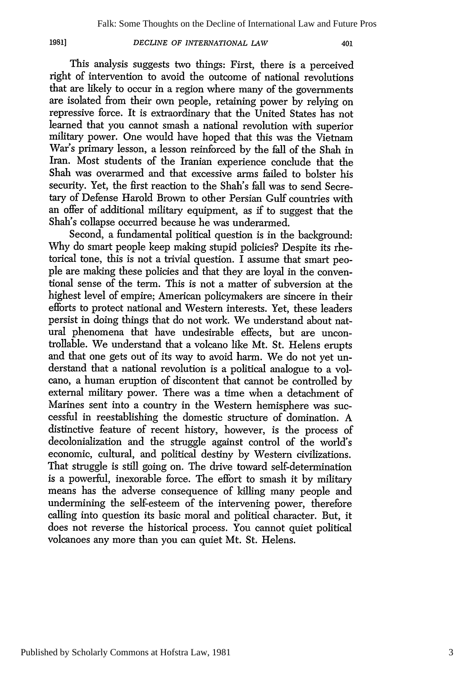401

This analysis suggests two things: First, there is a perceived right of intervention to avoid the outcome of national revolutions that are likely to occur in a region where many of the governments are isolated from their own people, retaining power by relying on repressive force. It is extraordinary that the United States has not learned that you cannot smash a national revolution with superior military power. One would have hoped that this was the Vietnam War's primary lesson, a lesson reinforced by the fall of the Shah in Iran. Most students of the Iranian experience conclude that the Shah was overarmed and that excessive arms failed to bolster his security. Yet, the first reaction to the Shah's fall was to send Secretary of Defense Harold Brown to other Persian Gulf countries with an offer of additional military equipment, as if to suggest that the Shah's collapse occurred because he was underarmed.

Second, a fundamental political question is in the background: Why do smart people keep making stupid policies? Despite its rhetorical tone, this is not a trivial question. I assume that smart people are making these policies and that they are loyal in the conventional sense of the term. This is not a matter of subversion at the highest level of empire; American policymakers are sincere in their efforts to protect national and Western interests. Yet, these leaders persist in doing things that do not work. We understand about natural phenomena that have undesirable effects, but are uncontrollable. We understand that a volcano like Mt. St. Helens erupts and that one gets out of its way to avoid harm. We do not yet understand that a national revolution is a political analogue to a volcano, a human eruption of discontent that cannot be controlled by external military power. There was a time when a detachment of Marines sent into a country in the Western hemisphere was successful in reestablishing the domestic structure of domination. A distinctive feature of recent history, however, is the process of decolonialization and the struggle against control of the world's economic, cultural, and political destiny by Western civilizations. That struggle is still going on. The drive toward self-determination is a powerful, inexorable force. The effort to smash it by military means has the adverse consequence of killing many people and undermining the self-esteem of the intervening power, therefore calling into question its basic moral and political character. But, it does not reverse the historical process. You cannot quiet political volcanoes any more than you can quiet Mt. St. Helens.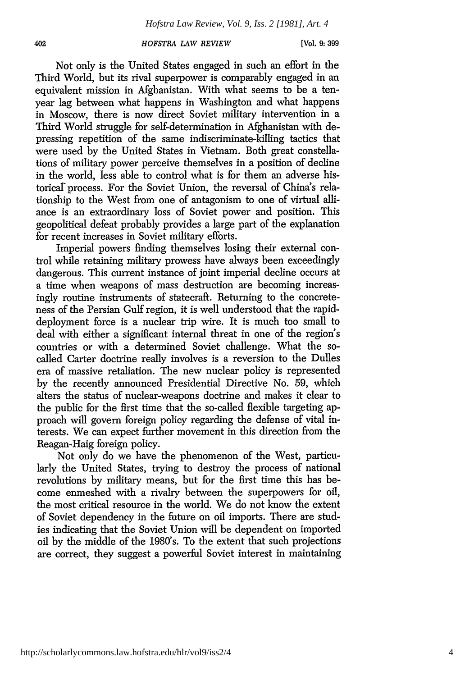**[Vol. 9:399**

Not only is the United States engaged in such an effort in the Third World, but its rival superpower is comparably engaged in an equivalent mission in Afghanistan. With what seems to be a tenyear lag between what happens in Washington and what happens in Moscow, there is now direct Soviet military intervention in a Third World struggle for self-determination in Afghanistan with depressing repetition of the same indiscriminate-killing tactics that were used by the United States in Vietnam. Both great constellations of military power perceive themselves in a position of decline in the world, less able to control what is for them an adverse historical process. For the Soviet Union, the reversal of China's relationship to the West from one of antagonism to one of virtual alliance is an extraordinary loss of Soviet power and position. This geopolitical defeat probably provides a large part of the explanation for recent increases in Soviet military efforts.

Imperial powers finding themselves losing their external control while retaining military prowess have always been exceedingly dangerous. This current instance of joint imperial decline occurs at a time when weapons of mass destruction are becoming increasingly routine instruments of statecraft. Returning to the concreteness of the Persian Gulf region, it is well understood that the rapiddeployment force is a nuclear trip wire. It is much too small to deal with either a significant internal threat in one of the region's countries or with a determined Soviet challenge. What the socalled Carter doctrine really involves is a reversion to the Dulles era of massive retaliation. The new nuclear policy is represented by the recently announced Presidential Directive No. 59, which alters the status of nuclear-weapons doctrine and makes it clear to the public for the first time that the so-called flexible targeting approach will govern foreign policy regarding the defense of vital interests. We can expect further movement in this direction from the Reagan-Haig foreign policy.

Not only do we have the phenomenon of the West, particularly the United States, trying to destroy the process of national revolutions by military means, but for the first time this has become enmeshed with a rivalry between the superpowers for oil, the most critical resource in the world. We do not know the extent of Soviet dependency in the future on oil imports. There are studies indicating that the Soviet Union will be dependent on imported oil by the middle of the 1980's. To the extent that such projections are correct, they suggest a powerful Soviet interest in maintaining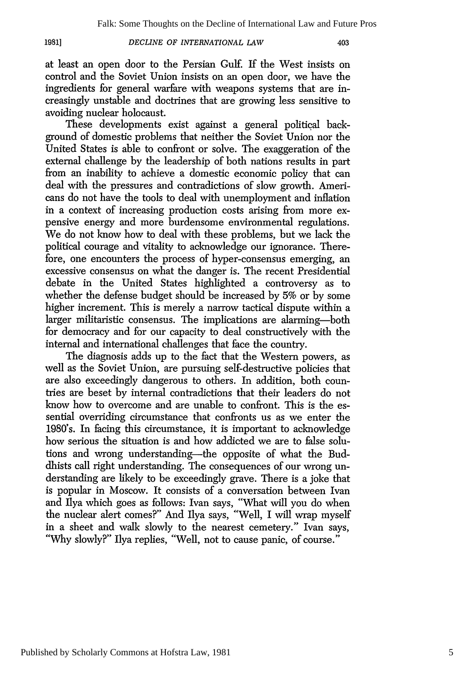403

at least an open door to the Persian Gulf. If the West insists on control and the Soviet Union insists on an open door, we have the ingredients for general warfare with weapons systems that are increasingly unstable and doctrines that are growing less sensitive to avoiding nuclear holocaust.

These developments exist against a general political background of domestic problems that neither the Soviet Union nor the United States is able to confront or solve. The exaggeration of the external challenge by the leadership of both nations results in part from an inability to achieve a domestic economic policy that can deal with the pressures and contradictions of slow growth. Americans do not have the tools to deal with unemployment and inflation in a context of increasing production costs arising from more expensive energy and more burdensome environmental regulations. We do not know how to deal with these problems, but we lack the political courage and vitality to acknowledge our ignorance. Therefore, one encounters the process of hyper-consensus emerging, an excessive consensus on what the danger is. The recent Presidential debate in the United States highlighted a controversy as to whether the defense budget should be increased by 5% or by some higher increment. This is merely a narrow tactical dispute within a larger militaristic consensus. The implications are alarming-both for democracy and for our capacity to deal constructively with the internal and international challenges that face the country.

The diagnosis adds up to the fact that the Western powers, as well as the Soviet Union, are pursuing self-destructive policies that are also exceedingly dangerous to others. In addition, both countries are beset by internal contradictions that their leaders do not know how to overcome and are unable to confront. This is the essential overriding circumstance that confronts us as we enter the 1980's. In facing this circumstance, it is important to acknowledge how serious the situation is and how addicted we are to false solutions and wrong understanding-the opposite of what the Buddhists call right understanding. The consequences of our wrong understanding are likely to be exceedingly grave. There is a joke that is popular in Moscow. It consists of a conversation between Ivan and Ilya which goes as follows: Ivan says, "What will you do when the nuclear alert comes?" And Ilya says, "Well, I will wrap myself in a sheet and walk slowly to the nearest cemetery." Ivan says, "Why slowly?" Ilya replies, "Well, not to cause panic, of course."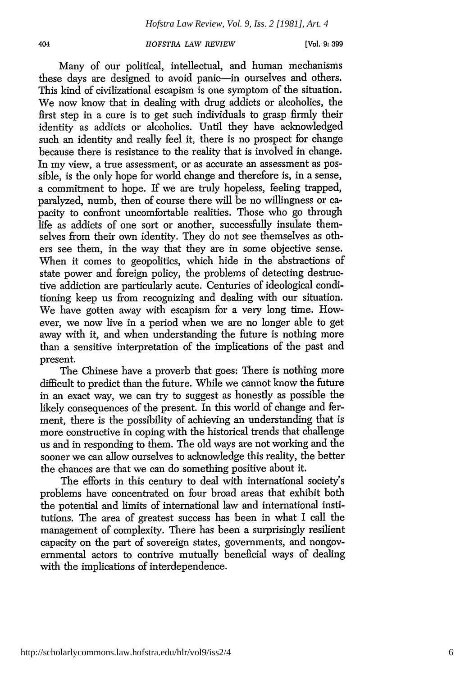Many of our political, intellectual, and human mechanisms these days are designed to avoid panic—in ourselves and others. This kind of civilizational escapism is one symptom of the situation. We now know that in dealing with drug addicts or alcoholics, the first step in a cure is to get such individuals to grasp firmly their identity as addicts or alcoholics. Until they have acknowledged such an identity and really feel it, there is no prospect for change because there is resistance to the reality that is involved in change. In my view, a true assessment, or as accurate an assessment as possible, is the only hope for world change and therefore is, in a sense, a commitment to hope. If we are truly hopeless, feeling trapped, paralyzed, numb, then of course there will be no willingness or capacity to confront uncomfortable realities. Those who go through life as addicts of one sort or another, successfully insulate themselves from their own identity. They do not see themselves as others see them, in the way that they are in some objective sense. When it comes to geopolitics, which hide in the abstractions of state power and foreign policy, the problems of detecting destructive addiction are particularly acute. Centuries of ideological conditioning keep us from recognizing and dealing with our situation. We have gotten away with escapism for a very long time. However, we now live in a period when we are no longer able to get away with it, and when understanding the future is nothing more than a sensitive interpretation of the implications of the past and present.

The Chinese have a proverb that goes: There is nothing more difficult to predict than the future. While we cannot know the future in an exact way, we can try to suggest as honestly as possible the likely consequences of the present. In this world of change and ferment, there is the possibility of achieving an understanding that is more constructive in coping with the historical trends that challenge us and in responding to them. The old ways are not working and the sooner we can allow ourselves to acknowledge this reality, the better the chances are that we can do something positive about it.

The efforts in this century to deal with international society's problems have concentrated on four broad areas that exhibit both the potential and limits of international law and international institutions. The area of greatest success has been in what I call the management of complexity. There has been a surprisingly resilient capacity on the part of sovereign states, governments, and nongovernmental actors to contrive mutually beneficial ways of dealing with the implications of interdependence.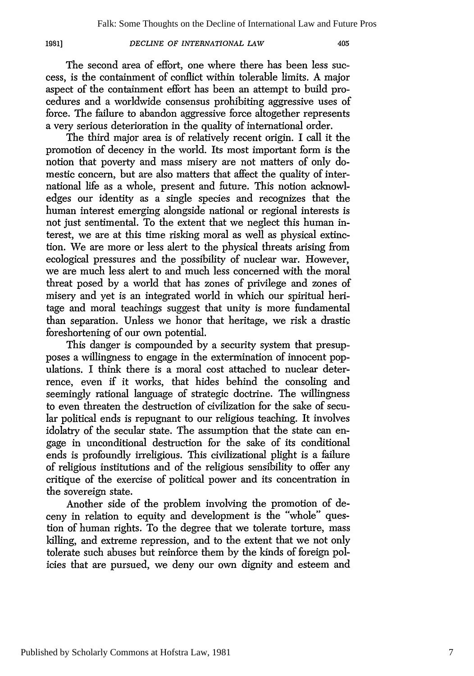The second area of effort, one where there has been less success, is the containment of conflict within tolerable limits. A major aspect of the containment effort has been an attempt to build procedures and a worldwide consensus prohibiting aggressive uses of force. The failure to abandon aggressive force altogether represents a very serious deterioration in the quality of international order.

The third major area is of relatively recent origin. I call it the promotion of decency in the world. Its most important form is the notion that poverty and mass misery are not matters of only domestic concern, but are also matters that affect the quality of international life as a whole, present and future. This notion acknowledges our identity as a single species and recognizes that the human interest emerging alongside national or regional interests is not just sentimental. To the extent that we neglect this human interest, we are at this time risking moral as well as physical extinction. We are more or less alert to the physical threats arising from ecological pressures and the possibility of nuclear war. However, we are much less alert to and much less concerned with the moral threat posed by a world that has zones of privilege and zones of misery and yet is an integrated world in which our spiritual heritage and moral teachings suggest that unity is more fundamental than separation. Unless we honor that heritage, we risk a drastic foreshortening of our own potential.

This danger is compounded by a security system that presupposes a willingness to engage in the extermination of innocent populations. I think there is a moral cost attached to nuclear deterrence, even if it works, that hides behind the consoling and seemingly rational language of strategic doctrine. The willingness to even threaten the destruction of civilization for the sake of secular political ends is repugnant to our religious teaching. It involves idolatry of the secular state. The assumption that the state can engage in unconditional destruction for the sake of its conditional ends is profoundly irreligious. This civilizational plight is a failure of religious institutions and of the religious sensibility to offer any critique of the exercise of political power and its concentration in the sovereign state.

Another side of the problem involving the promotion of deceny in relation to equity and development is the "whole" question of human rights. To the degree that we tolerate torture, mass killing, and extreme repression, and to the extent that we not only tolerate such abuses but reinforce them by the kinds of foreign policies that are pursued, we deny our own dignity and esteem and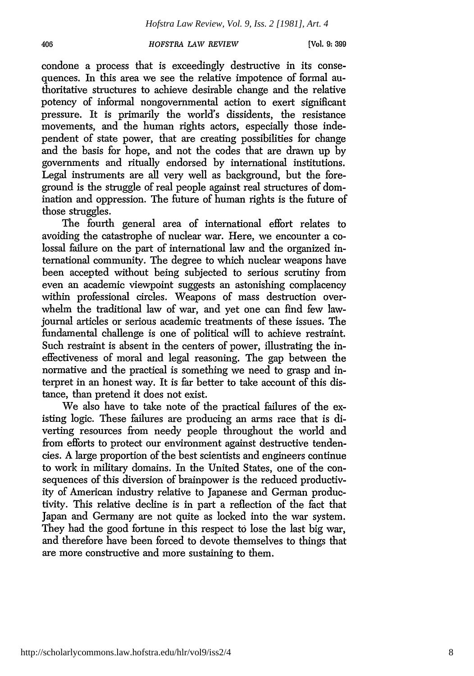406

 $[V<sub>o</sub>]$ , 9:399

condone a process that is exceedingly destructive in its consequences. In this area we see the relative impotence of formal authoritative structures to achieve desirable change and the relative potency of informal nongovernmental action to exert significant pressure. It is primarily the world's dissidents, the resistance movements, and the human rights actors, especially those independent of state power, that are creating possibilities for change and the basis for hope, and not the codes that are drawn up by governments and ritually endorsed by international institutions. Legal instruments are all very well as background, but the foreground is the struggle of real people against real structures of domination and oppression. The future of human rights is the future of those struggles.

The fourth general area of international effort relates to avoiding the catastrophe of nuclear war. Here, we encounter a colossal failure on the part of international law and the organized international community. The degree to which nuclear weapons have been accepted without being subjected to serious scrutiny from even an academic viewpoint suggests an astonishing complacency within professional circles. Weapons of mass destruction overwhelm the traditional law of war, and yet one can find few lawjournal articles or serious academic treatments of these issues. The fundamental challenge is one of political will to achieve restraint. Such restraint is absent in the centers of power, illustrating the ineffectiveness of moral and legal reasoning. The gap between the normative and the practical is something we need to grasp and interpret in an honest way. It is far better to take account of this distance, than pretend it does not exist.

We also have to take note of the practical failures of the existing logic. These failures are producing an arms race that is diverting resources from needy people throughout the world and from efforts to protect our environment against destructive tendencies. A large proportion of the best scientists and engineers continue to work in military domains. In the United States, one of the consequences of this diversion of brainpower is the reduced productivity of American industry relative to Japanese and German productivity. This relative decline is in part a reflection of the fact that Japan and Germany are not quite as locked into the war system. They had the good fortune in this respect to lose the last big war, and therefore have been forced to devote themselves to things that are more constructive and more sustaining to them.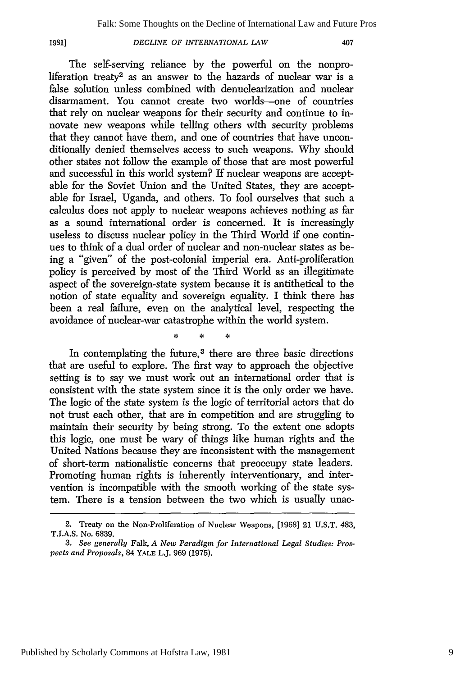#### **1981]**

## *DECLINE OF INTERNATIONAL LAW*

407

The self-serving reliance by the powerful on the nonproliferation treaty<sup>2</sup> as an answer to the hazards of nuclear war is a false solution unless combined with denuclearization and nuclear disarmament. You cannot create two worlds-one of countries that rely on nuclear weapons for their security and continue to innovate new weapons while telling others with security problems that they cannot have them, and one of countries that have unconditionally denied themselves access to such weapons. Why should other states not follow the example of those that are most powerful and successful in this world system? If nuclear weapons are acceptable for the Soviet Union and the United States, they are acceptable for Israel, Uganda, and others. To fool ourselves that such a calculus does not apply to nuclear weapons achieves nothing as far as a sound international order is concerned. It is increasingly useless to discuss nuclear policy in the Third World if one continues to think of a dual order of nuclear and non-nuclear states as being a "given" of the post-colonial imperial era. Anti-proliferation policy is perceived by most of the Third World as an illegitimate aspect of the sovereign-state system because it is antithetical to the notion of state equality and sovereign equality. I think there has been a real failure, even on the analytical level, respecting the avoidance of nuclear-war catastrophe within the world system.

 $\mathbf{r}$ 

Ł.

In contemplating the future,<sup>3</sup> there are three basic directions that are useful to explore. The first way to approach the objective setting is to say we must work out an international order that is consistent with the state system since it is the only order we have. The logic of the state system is the logic of territorial actors that do not trust each other, that are in competition and are struggling to maintain their security by being strong. To the extent one adopts this logic, one must be wary of things like human rights and the United Nations because they are inconsistent with the management of short-term nationalistic concerns that preoccupy state leaders. Promoting human rights is inherently interventionary, and intervention is incompatible with the smooth working of the state system. There is a tension between the two which is usually unac-

<sup>2.</sup> Treaty on the Non-Proliferation of Nuclear Weapons, [1968] 21 U.S.T. 483, T.I.A.S. No. 6839.

*<sup>3.</sup> See generally* Falk, *A New Paradigm for International Legal Studies: Prospects and Proposals,* 84 YALE L.J. 969 (1975).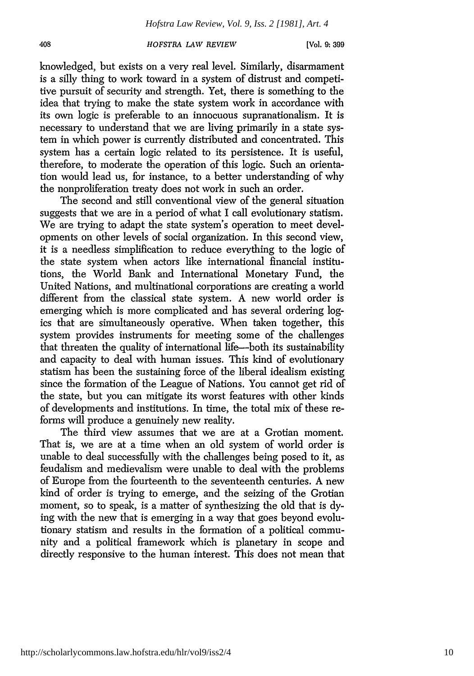knowledged, but exists on a very real level. Similarly, disarmament is a silly thing to work toward in a system of distrust and competitive pursuit of security and strength. Yet, there is something to the idea that trying to make the state system work in accordance with its own logic is preferable to an innocuous supranationalism. It is necessary to understand that we are living primarily in a state system in which power is currently distributed and concentrated. This system has a certain logic related to its persistence. It is useful, therefore, to moderate the operation of this logic. Such an orientation would lead us, for instance, to a better understanding of why the nonproliferation treaty does not work in such an order.

The second and still conventional view of the general situation suggests that we are in a period of what I call evolutionary statism. We are trying to adapt the state system's operation to meet developments on other levels of social organization. In this second view, it is a needless simplification to reduce everything to the logic of the state system when actors like international financial institutions, the World Bank and International Monetary Fund, the United Nations, and multinational corporations are creating a world different from the classical state system. A new world order is emerging which is more complicated and has several ordering logics that are simultaneously operative. When taken together, this system provides instruments for meeting some of the challenges that threaten the quality of international life-both its sustainability and capacity to deal with human issues. This kind of evolutionary statism has been the sustaining force of the liberal idealism existing since the formation of the League of Nations. You cannot get rid of the state, but you can mitigate its worst features with other kinds of developments and institutions. In time, the total mix of these reforms will produce a genuinely new reality.

The third view assumes that we are at a Grotian moment. That is, we are at a time when an old system of world order is unable to deal successfully with the challenges being posed to it, as feudalism and medievalism were unable to deal with the problems of Europe from the fourteenth to the seventeenth centuries. A new kind of order is trying to emerge, and the seizing of the Grotian moment, so to speak, is a matter of synthesizing the old that is dying with the new that is emerging in a way that goes beyond evolutionary statism and results in the formation of a political community and a political framework which is planetary in scope and directly responsive to the human interest. This does not mean that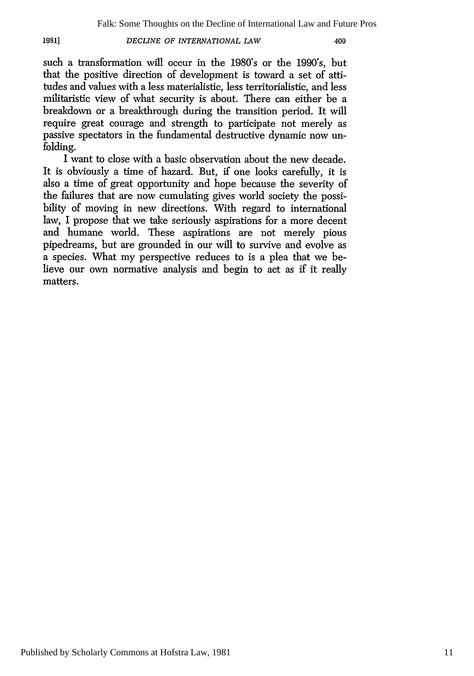409

such a transformation will occur in the 1980's or the 1990's, but that the positive direction of development is toward a set of attitudes and values with a less materialistic, less territorialistic, and less militaristic view of what security is about. There can either be a breakdown or a breakthrough during the transition period. It will require great courage and strength to participate not merely as passive spectators in the fundamental destructive dynamic now unfolding.

I want to close with a basic observation about the new decade. It is obviously a time of hazard. But, if one looks carefully, it is also a time of great opportunity and hope because the severity of the failures that are now cumulating gives world society the possibility of moving in new directions. With regard to international law, I propose that we take seriously aspirations for a more decent and humane world. These aspirations are not merely pious pipedreams, but are grounded in our will to survive and evolve as a species. What my perspective reduces to is a plea that we believe our own normative analysis and begin to act as if it really matters.